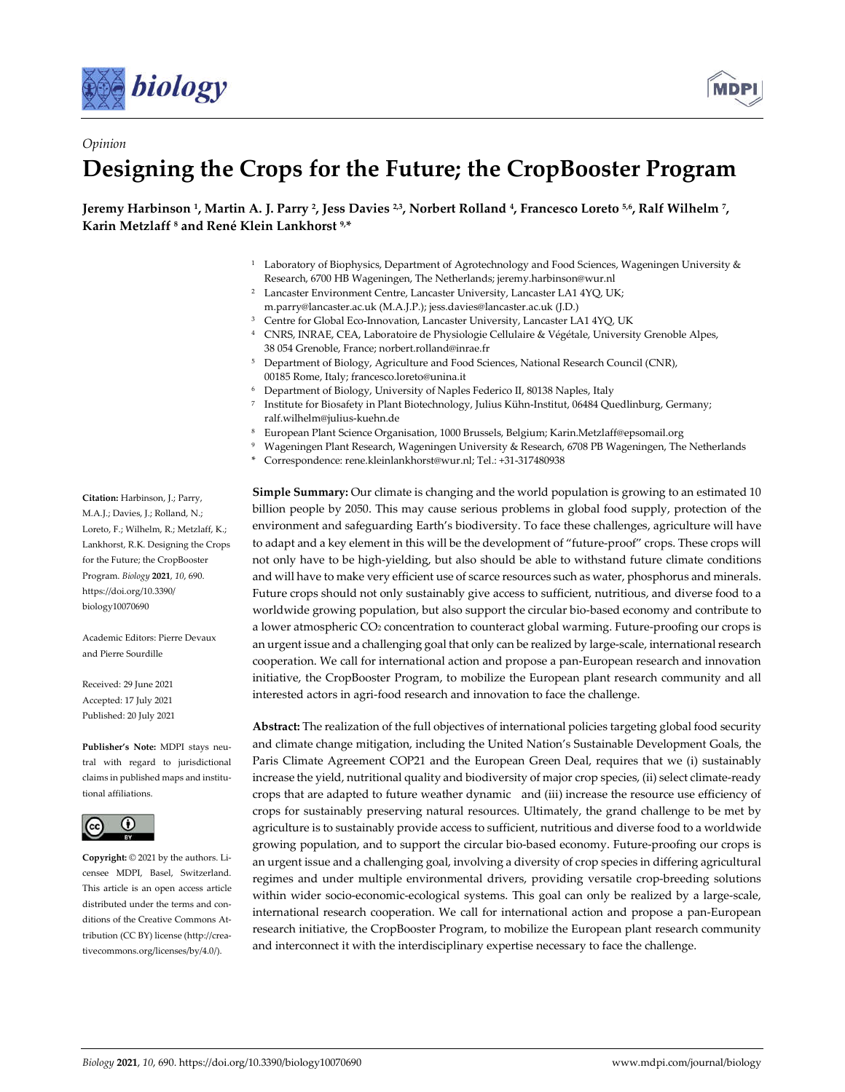

*Opinion*



# **Designing the Crops for the Future; the CropBooster Program**

**Jeremy Harbinson 1, Martin A. J. Parry 2, Jess Davies 2,3, Norbert Rolland 4, Francesco Loreto 5,6, Ralf Wilhelm 7, Karin Metzlaff 8 and René Klein Lankhorst 9,\***

- <sup>1</sup> Laboratory of Biophysics, Department of Agrotechnology and Food Sciences, Wageningen University & Research, 6700 HB Wageningen, The Netherlands; jeremy.harbinson@wur.nl
- <sup>2</sup> Lancaster Environment Centre, Lancaster University, Lancaster LA1 4YQ, UK; m.parry@lancaster.ac.uk (M.A.J.P.); jess.davies@lancaster.ac.uk (J.D.)
- <sup>3</sup> Centre for Global Eco-Innovation, Lancaster University, Lancaster LA1 4YQ, UK
- <sup>4</sup> CNRS, INRAE, CEA, Laboratoire de Physiologie Cellulaire & Végétale, University Grenoble Alpes, 38 054 Grenoble, France; norbert.rolland@inrae.fr
- <sup>5</sup> Department of Biology, Agriculture and Food Sciences, National Research Council (CNR), 00185 Rome, Italy; francesco.loreto@unina.it
- <sup>6</sup> Department of Biology, University of Naples Federico II, 80138 Naples, Italy
- <sup>7</sup> Institute for Biosafety in Plant Biotechnology, Julius Kühn-Institut, 06484 Quedlinburg, Germany; ralf.wilhelm@julius-kuehn.de
- <sup>8</sup> European Plant Science Organisation, 1000 Brussels, Belgium; Karin.Metzlaff@epsomail.org
- <sup>9</sup> Wageningen Plant Research, Wageningen University & Research, 6708 PB Wageningen, The Netherlands
- \* Correspondence: rene.kleinlankhorst@wur.nl; Tel.: +31-317480938

**Simple Summary:** Our climate is changing and the world population is growing to an estimated 10 billion people by 2050. This may cause serious problems in global food supply, protection of the environment and safeguarding Earth's biodiversity. To face these challenges, agriculture will have to adapt and a key element in this will be the development of "future-proof" crops. These crops will not only have to be high-yielding, but also should be able to withstand future climate conditions and will have to make very efficient use of scarce resources such as water, phosphorus and minerals. Future crops should not only sustainably give access to sufficient, nutritious, and diverse food to a worldwide growing population, but also support the circular bio-based economy and contribute to a lower atmospheric CO2 concentration to counteract global warming. Future-proofing our crops is an urgent issue and a challenging goal that only can be realized by large-scale, international research cooperation. We call for international action and propose a pan-European research and innovation initiative, the CropBooster Program, to mobilize the European plant research community and all interested actors in agri-food research and innovation to face the challenge.

**Abstract:** The realization of the full objectives of international policies targeting global food security and climate change mitigation, including the United Nation's Sustainable Development Goals, the Paris Climate Agreement COP21 and the European Green Deal, requires that we (i) sustainably increase the yield, nutritional quality and biodiversity of major crop species, (ii) select climate-ready crops that are adapted to future weather dynamic and (iii) increase the resource use efficiency of crops for sustainably preserving natural resources. Ultimately, the grand challenge to be met by agriculture is to sustainably provide access to sufficient, nutritious and diverse food to a worldwide growing population, and to support the circular bio-based economy. Future-proofing our crops is an urgent issue and a challenging goal, involving a diversity of crop species in differing agricultural regimes and under multiple environmental drivers, providing versatile crop-breeding solutions within wider socio-economic-ecological systems. This goal can only be realized by a large-scale, international research cooperation. We call for international action and propose a pan-European research initiative, the CropBooster Program, to mobilize the European plant research community and interconnect it with the interdisciplinary expertise necessary to face the challenge.

**Citation:** Harbinson, J.; Parry, M.A.J.; Davies, J.; Rolland, N.; Loreto, F.; Wilhelm, R.; Metzlaff, K.; Lankhorst, R.K. Designing the Crops for the Future; the CropBooster Program. *Biology* **2021**, *10*, 690. https://doi.org/10.3390/ biology10070690

Academic Editors: Pierre Devaux and Pierre Sourdille

Received: 29 June 2021 Accepted: 17 July 2021 Published: 20 July 2021

**Publisher's Note:** MDPI stays neutral with regard to jurisdictional claims in published maps and institutional affiliations.



**Copyright:** © 2021 by the authors. Licensee MDPI, Basel, Switzerland. This article is an open access article distributed under the terms and conditions of the Creative Commons Attribution (CC BY) license (http://creativecommons.org/licenses/by/4.0/).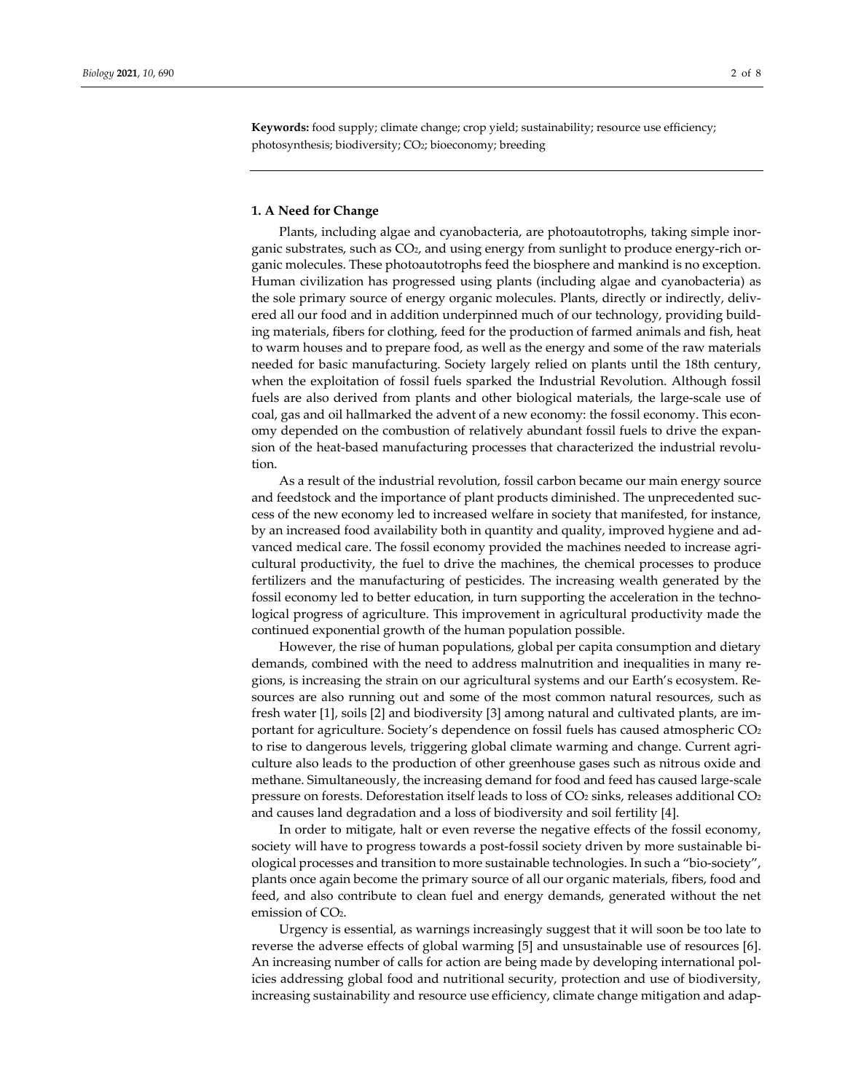**Keywords:** food supply; climate change; crop yield; sustainability; resource use efficiency; photosynthesis; biodiversity; CO2; bioeconomy; breeding

## **1. A Need for Change**

Plants, including algae and cyanobacteria, are photoautotrophs, taking simple inorganic substrates, such as CO2, and using energy from sunlight to produce energy-rich organic molecules. These photoautotrophs feed the biosphere and mankind is no exception. Human civilization has progressed using plants (including algae and cyanobacteria) as the sole primary source of energy organic molecules. Plants, directly or indirectly, delivered all our food and in addition underpinned much of our technology, providing building materials, fibers for clothing, feed for the production of farmed animals and fish, heat to warm houses and to prepare food, as well as the energy and some of the raw materials needed for basic manufacturing. Society largely relied on plants until the 18th century, when the exploitation of fossil fuels sparked the Industrial Revolution. Although fossil fuels are also derived from plants and other biological materials, the large-scale use of coal, gas and oil hallmarked the advent of a new economy: the fossil economy. This economy depended on the combustion of relatively abundant fossil fuels to drive the expansion of the heat-based manufacturing processes that characterized the industrial revolution.

As a result of the industrial revolution, fossil carbon became our main energy source and feedstock and the importance of plant products diminished. The unprecedented success of the new economy led to increased welfare in society that manifested, for instance, by an increased food availability both in quantity and quality, improved hygiene and advanced medical care. The fossil economy provided the machines needed to increase agricultural productivity, the fuel to drive the machines, the chemical processes to produce fertilizers and the manufacturing of pesticides. The increasing wealth generated by the fossil economy led to better education, in turn supporting the acceleration in the technological progress of agriculture. This improvement in agricultural productivity made the continued exponential growth of the human population possible.

However, the rise of human populations, global per capita consumption and dietary demands, combined with the need to address malnutrition and inequalities in many regions, is increasing the strain on our agricultural systems and our Earth's ecosystem. Resources are also running out and some of the most common natural resources, such as fresh water [1], soils [2] and biodiversity [3] among natural and cultivated plants, are important for agriculture. Society's dependence on fossil fuels has caused atmospheric  $CO<sub>2</sub>$ to rise to dangerous levels, triggering global climate warming and change. Current agriculture also leads to the production of other greenhouse gases such as nitrous oxide and methane. Simultaneously, the increasing demand for food and feed has caused large-scale pressure on forests. Deforestation itself leads to loss of CO2 sinks, releases additional CO2 and causes land degradation and a loss of biodiversity and soil fertility [4].

In order to mitigate, halt or even reverse the negative effects of the fossil economy, society will have to progress towards a post-fossil society driven by more sustainable biological processes and transition to more sustainable technologies. In such a "bio-society", plants once again become the primary source of all our organic materials, fibers, food and feed, and also contribute to clean fuel and energy demands, generated without the net emission of CO<sub>2</sub>.

Urgency is essential, as warnings increasingly suggest that it will soon be too late to reverse the adverse effects of global warming [5] and unsustainable use of resources [6]. An increasing number of calls for action are being made by developing international policies addressing global food and nutritional security, protection and use of biodiversity, increasing sustainability and resource use efficiency, climate change mitigation and adap-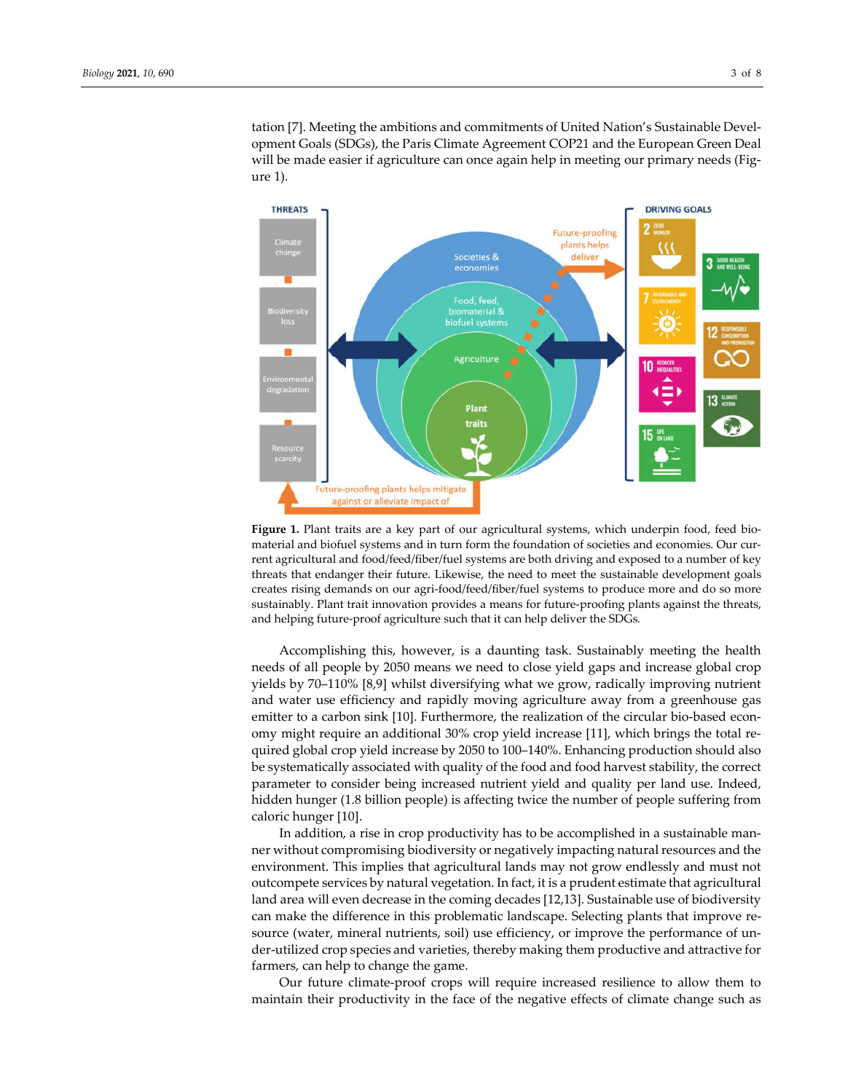tation [7]. Meeting the ambitions and commitments of United Nation's Sustainable Development Goals (SDGs), the Paris Climate Agreement COP21 and the European Green Deal will be made easier if agriculture can once again help in meeting our primary needs (Figure 1).



**Figure 1.** Plant traits are a key part of our agricultural systems, which underpin food, feed biomaterial and biofuel systems and in turn form the foundation of societies and economies. Our current agricultural and food/feed/fiber/fuel systems are both driving and exposed to a number of key threats that endanger their future. Likewise, the need to meet the sustainable development goals creates rising demands on our agri-food/feed/fiber/fuel systems to produce more and do so more sustainably. Plant trait innovation provides a means for future-proofing plants against the threats, and helping future-proof agriculture such that it can help deliver the SDGs*.*

Accomplishing this, however, is a daunting task. Sustainably meeting the health needs of all people by 2050 means we need to close yield gaps and increase global crop yields by 70–110% [8,9] whilst diversifying what we grow, radically improving nutrient and water use efficiency and rapidly moving agriculture away from a greenhouse gas emitter to a carbon sink [10]. Furthermore, the realization of the circular bio-based economy might require an additional 30% crop yield increase [11], which brings the total required global crop yield increase by 2050 to 100–140%. Enhancing production should also be systematically associated with quality of the food and food harvest stability, the correct parameter to consider being increased nutrient yield and quality per land use. Indeed, hidden hunger (1.8 billion people) is affecting twice the number of people suffering from caloric hunger [10].

In addition, a rise in crop productivity has to be accomplished in a sustainable manner without compromising biodiversity or negatively impacting natural resources and the environment. This implies that agricultural lands may not grow endlessly and must not outcompete services by natural vegetation. In fact, it is a prudent estimate that agricultural land area will even decrease in the coming decades [12,13]. Sustainable use of biodiversity can make the difference in this problematic landscape. Selecting plants that improve resource (water, mineral nutrients, soil) use efficiency, or improve the performance of under-utilized crop species and varieties, thereby making them productive and attractive for farmers, can help to change the game.

Our future climate-proof crops will require increased resilience to allow them to maintain their productivity in the face of the negative effects of climate change such as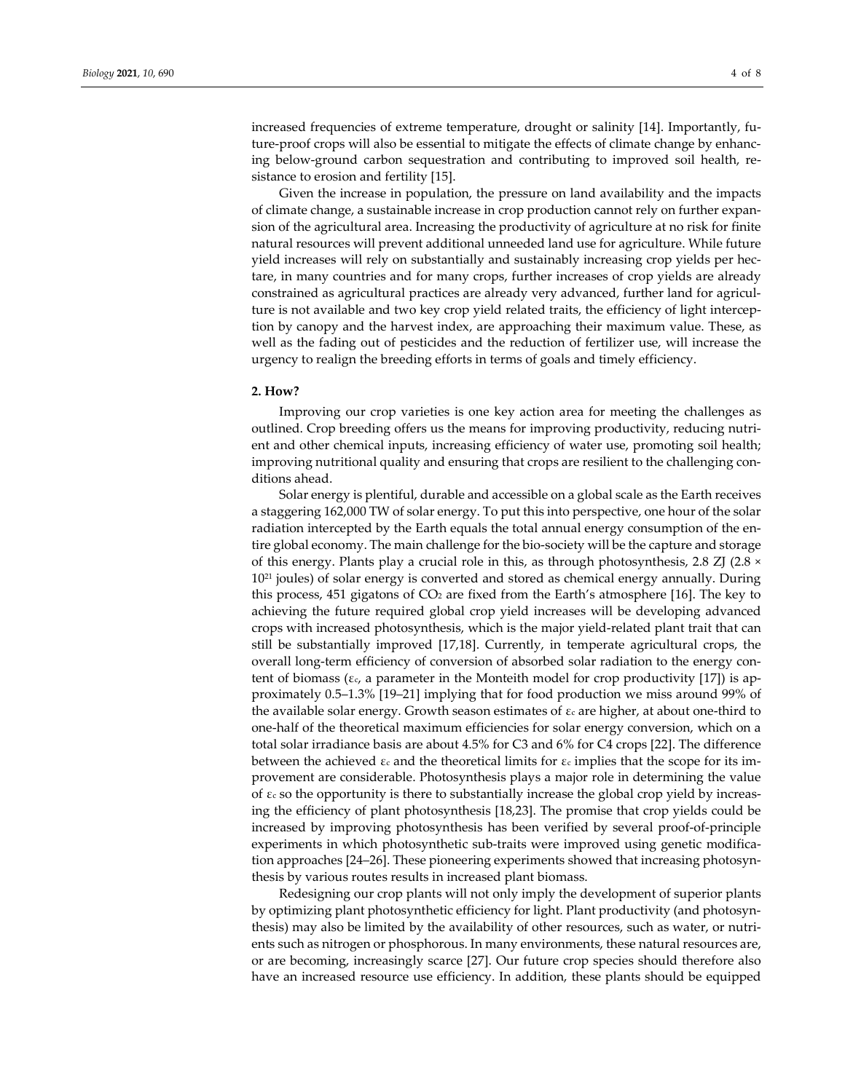increased frequencies of extreme temperature, drought or salinity [14]. Importantly, future-proof crops will also be essential to mitigate the effects of climate change by enhancing below-ground carbon sequestration and contributing to improved soil health, resistance to erosion and fertility [15].

Given the increase in population, the pressure on land availability and the impacts of climate change, a sustainable increase in crop production cannot rely on further expansion of the agricultural area. Increasing the productivity of agriculture at no risk for finite natural resources will prevent additional unneeded land use for agriculture. While future yield increases will rely on substantially and sustainably increasing crop yields per hectare, in many countries and for many crops, further increases of crop yields are already constrained as agricultural practices are already very advanced, further land for agriculture is not available and two key crop yield related traits, the efficiency of light interception by canopy and the harvest index, are approaching their maximum value. These, as well as the fading out of pesticides and the reduction of fertilizer use, will increase the urgency to realign the breeding efforts in terms of goals and timely efficiency.

## **2. How?**

Improving our crop varieties is one key action area for meeting the challenges as outlined. Crop breeding offers us the means for improving productivity, reducing nutrient and other chemical inputs, increasing efficiency of water use, promoting soil health; improving nutritional quality and ensuring that crops are resilient to the challenging conditions ahead.

Solar energy is plentiful, durable and accessible on a global scale as the Earth receives a staggering 162,000 TW of solar energy. To put this into perspective, one hour of the solar radiation intercepted by the Earth equals the total annual energy consumption of the entire global economy. The main challenge for the bio-society will be the capture and storage of this energy. Plants play a crucial role in this, as through photosynthesis, 2.8 ZJ (2.8 × 10<sup>21</sup> joules) of solar energy is converted and stored as chemical energy annually. During this process, 451 gigatons of  $CO<sub>2</sub>$  are fixed from the Earth's atmosphere [16]. The key to achieving the future required global crop yield increases will be developing advanced crops with increased photosynthesis, which is the major yield-related plant trait that can still be substantially improved [17,18]. Currently, in temperate agricultural crops, the overall long-term efficiency of conversion of absorbed solar radiation to the energy content of biomass ( $\varepsilon_c$ , a parameter in the Monteith model for crop productivity [17]) is approximately 0.5–1.3% [19–21] implying that for food production we miss around 99% of the available solar energy. Growth season estimates of  $\varepsilon_c$  are higher, at about one-third to one-half of the theoretical maximum efficiencies for solar energy conversion, which on a total solar irradiance basis are about 4.5% for C3 and 6% for C4 crops [22]. The difference between the achieved  $\varepsilon_c$  and the theoretical limits for  $\varepsilon_c$  implies that the scope for its improvement are considerable. Photosynthesis plays a major role in determining the value of εc so the opportunity is there to substantially increase the global crop yield by increasing the efficiency of plant photosynthesis [18,23]. The promise that crop yields could be increased by improving photosynthesis has been verified by several proof-of-principle experiments in which photosynthetic sub-traits were improved using genetic modification approaches [24–26]. These pioneering experiments showed that increasing photosynthesis by various routes results in increased plant biomass.

Redesigning our crop plants will not only imply the development of superior plants by optimizing plant photosynthetic efficiency for light. Plant productivity (and photosynthesis) may also be limited by the availability of other resources, such as water, or nutrients such as nitrogen or phosphorous. In many environments, these natural resources are, or are becoming, increasingly scarce [27]. Our future crop species should therefore also have an increased resource use efficiency. In addition, these plants should be equipped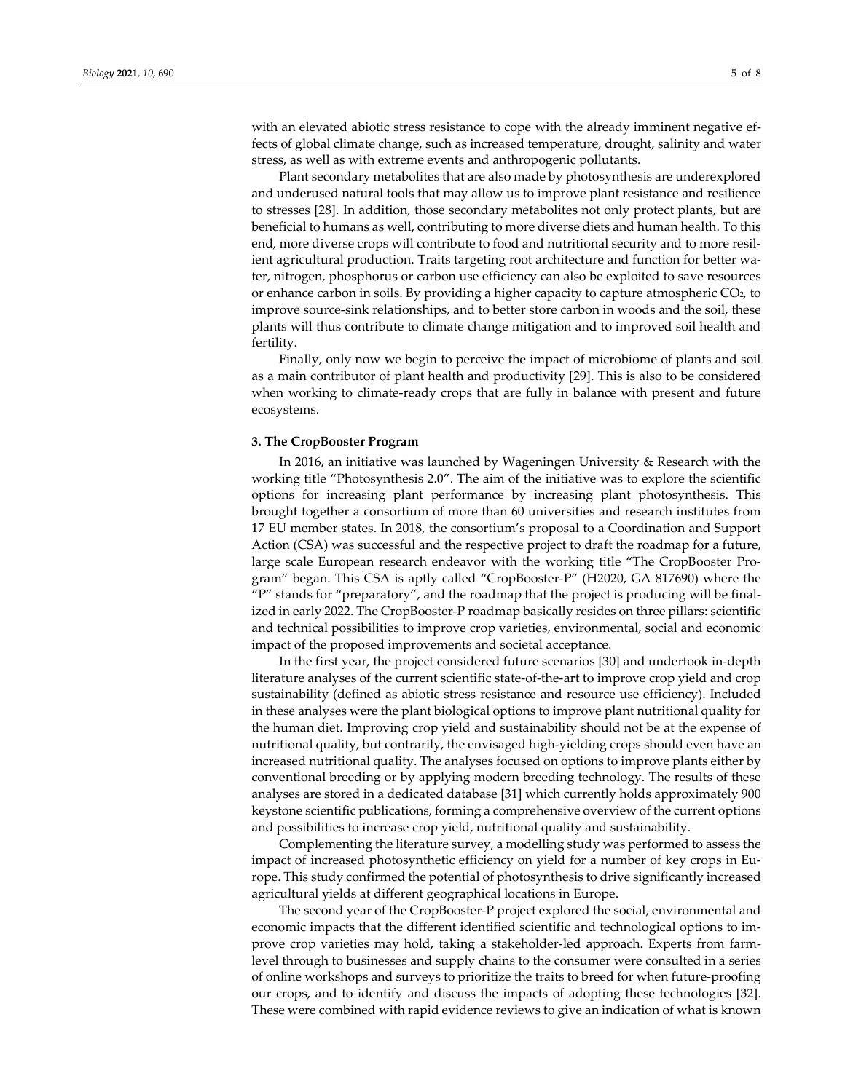with an elevated abiotic stress resistance to cope with the already imminent negative effects of global climate change, such as increased temperature, drought, salinity and water stress, as well as with extreme events and anthropogenic pollutants.

Plant secondary metabolites that are also made by photosynthesis are underexplored and underused natural tools that may allow us to improve plant resistance and resilience to stresses [28]. In addition, those secondary metabolites not only protect plants, but are beneficial to humans as well, contributing to more diverse diets and human health. To this end, more diverse crops will contribute to food and nutritional security and to more resilient agricultural production. Traits targeting root architecture and function for better water, nitrogen, phosphorus or carbon use efficiency can also be exploited to save resources or enhance carbon in soils. By providing a higher capacity to capture atmospheric CO2, to improve source-sink relationships, and to better store carbon in woods and the soil, these plants will thus contribute to climate change mitigation and to improved soil health and fertility.

Finally, only now we begin to perceive the impact of microbiome of plants and soil as a main contributor of plant health and productivity [29]. This is also to be considered when working to climate-ready crops that are fully in balance with present and future ecosystems.

## **3. The CropBooster Program**

In 2016, an initiative was launched by Wageningen University & Research with the working title "Photosynthesis 2.0". The aim of the initiative was to explore the scientific options for increasing plant performance by increasing plant photosynthesis. This brought together a consortium of more than 60 universities and research institutes from 17 EU member states. In 2018, the consortium's proposal to a Coordination and Support Action (CSA) was successful and the respective project to draft the roadmap for a future, large scale European research endeavor with the working title "The CropBooster Program" began. This CSA is aptly called "CropBooster-P" (H2020, GA 817690) where the "P" stands for "preparatory", and the roadmap that the project is producing will be finalized in early 2022. The CropBooster-P roadmap basically resides on three pillars: scientific and technical possibilities to improve crop varieties, environmental, social and economic impact of the proposed improvements and societal acceptance.

In the first year, the project considered future scenarios [30] and undertook in-depth literature analyses of the current scientific state-of-the-art to improve crop yield and crop sustainability (defined as abiotic stress resistance and resource use efficiency). Included in these analyses were the plant biological options to improve plant nutritional quality for the human diet. Improving crop yield and sustainability should not be at the expense of nutritional quality, but contrarily, the envisaged high-yielding crops should even have an increased nutritional quality. The analyses focused on options to improve plants either by conventional breeding or by applying modern breeding technology. The results of these analyses are stored in a dedicated database [31] which currently holds approximately 900 keystone scientific publications, forming a comprehensive overview of the current options and possibilities to increase crop yield, nutritional quality and sustainability.

Complementing the literature survey, a modelling study was performed to assess the impact of increased photosynthetic efficiency on yield for a number of key crops in Europe. This study confirmed the potential of photosynthesis to drive significantly increased agricultural yields at different geographical locations in Europe.

The second year of the CropBooster-P project explored the social, environmental and economic impacts that the different identified scientific and technological options to improve crop varieties may hold, taking a stakeholder-led approach. Experts from farmlevel through to businesses and supply chains to the consumer were consulted in a series of online workshops and surveys to prioritize the traits to breed for when future-proofing our crops, and to identify and discuss the impacts of adopting these technologies [32]. These were combined with rapid evidence reviews to give an indication of what is known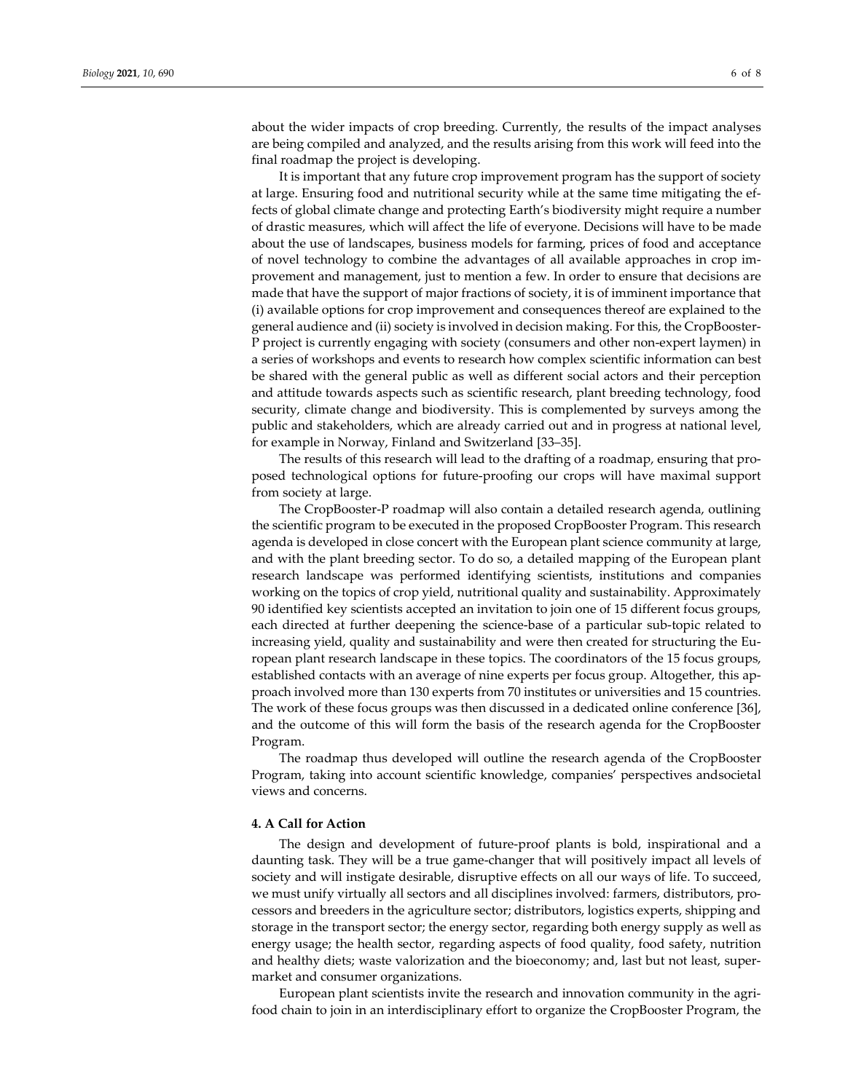about the wider impacts of crop breeding. Currently, the results of the impact analyses are being compiled and analyzed, and the results arising from this work will feed into the final roadmap the project is developing.

It is important that any future crop improvement program has the support of society at large. Ensuring food and nutritional security while at the same time mitigating the effects of global climate change and protecting Earth's biodiversity might require a number of drastic measures, which will affect the life of everyone. Decisions will have to be made about the use of landscapes, business models for farming, prices of food and acceptance of novel technology to combine the advantages of all available approaches in crop improvement and management, just to mention a few. In order to ensure that decisions are made that have the support of major fractions of society, it is of imminent importance that (i) available options for crop improvement and consequences thereof are explained to the general audience and (ii) society is involved in decision making. For this, the CropBooster-P project is currently engaging with society (consumers and other non-expert laymen) in a series of workshops and events to research how complex scientific information can best be shared with the general public as well as different social actors and their perception and attitude towards aspects such as scientific research, plant breeding technology, food security, climate change and biodiversity. This is complemented by surveys among the public and stakeholders, which are already carried out and in progress at national level, for example in Norway, Finland and Switzerland [33–35].

The results of this research will lead to the drafting of a roadmap, ensuring that proposed technological options for future-proofing our crops will have maximal support from society at large.

The CropBooster-P roadmap will also contain a detailed research agenda, outlining the scientific program to be executed in the proposed CropBooster Program. This research agenda is developed in close concert with the European plant science community at large, and with the plant breeding sector. To do so, a detailed mapping of the European plant research landscape was performed identifying scientists, institutions and companies working on the topics of crop yield, nutritional quality and sustainability. Approximately 90 identified key scientists accepted an invitation to join one of 15 different focus groups, each directed at further deepening the science-base of a particular sub-topic related to increasing yield, quality and sustainability and were then created for structuring the European plant research landscape in these topics. The coordinators of the 15 focus groups, established contacts with an average of nine experts per focus group. Altogether, this approach involved more than 130 experts from 70 institutes or universities and 15 countries. The work of these focus groups was then discussed in a dedicated online conference [36], and the outcome of this will form the basis of the research agenda for the CropBooster Program.

The roadmap thus developed will outline the research agenda of the CropBooster Program, taking into account scientific knowledge, companies' perspectives andsocietal views and concerns.

#### **4. A Call for Action**

The design and development of future-proof plants is bold, inspirational and a daunting task. They will be a true game-changer that will positively impact all levels of society and will instigate desirable, disruptive effects on all our ways of life. To succeed, we must unify virtually all sectors and all disciplines involved: farmers, distributors, processors and breeders in the agriculture sector; distributors, logistics experts, shipping and storage in the transport sector; the energy sector, regarding both energy supply as well as energy usage; the health sector, regarding aspects of food quality, food safety, nutrition and healthy diets; waste valorization and the bioeconomy; and, last but not least, supermarket and consumer organizations.

European plant scientists invite the research and innovation community in the agrifood chain to join in an interdisciplinary effort to organize the CropBooster Program, the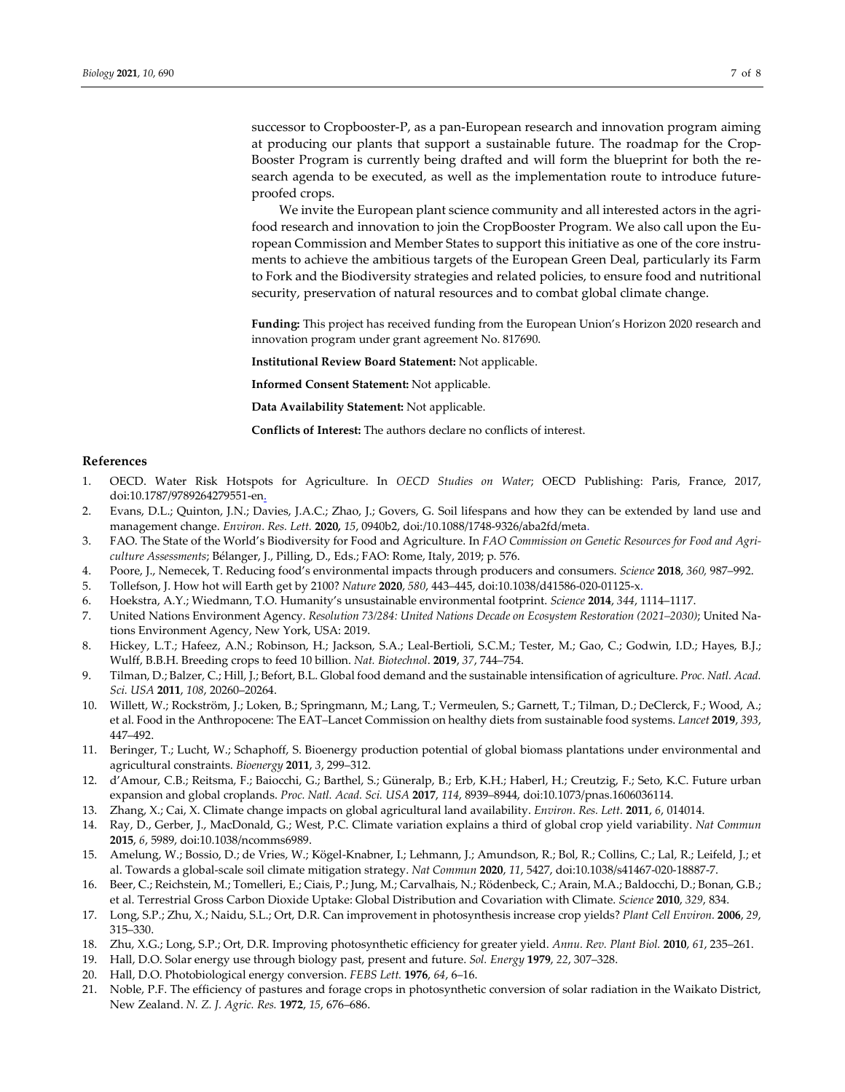successor to Cropbooster-P, as a pan-European research and innovation program aiming at producing our plants that support a sustainable future. The roadmap for the Crop-Booster Program is currently being drafted and will form the blueprint for both the research agenda to be executed, as well as the implementation route to introduce futureproofed crops.

We invite the European plant science community and all interested actors in the agrifood research and innovation to join the CropBooster Program. We also call upon the European Commission and Member States to support this initiative as one of the core instruments to achieve the ambitious targets of the European Green Deal, particularly its Farm to Fork and the Biodiversity strategies and related policies, to ensure food and nutritional security, preservation of natural resources and to combat global climate change.

**Funding:** This project has received funding from the European Union's Horizon 2020 research and innovation program under grant agreement No. 817690.

**Institutional Review Board Statement:** Not applicable.

**Informed Consent Statement:** Not applicable.

**Data Availability Statement:** Not applicable.

**Conflicts of Interest:** The authors declare no conflicts of interest.

#### **References**

- 1. OECD. Water Risk Hotspots for Agriculture. In *OECD Studies on Water*; OECD Publishing: Paris, France, 2017, doi:10.1787/9789264279551-en.
- 2. Evans, D.L.; Quinton, J.N.; Davies, J.A.C.; Zhao, J.; Govers, G. Soil lifespans and how they can be extended by land use and management change. *Environ. Res. Lett.* **2020***, 15*, 0940b2, doi:/10.1088/1748-9326/aba2fd/meta.
- 3. FAO. The State of the World's Biodiversity for Food and Agriculture. In *FAO Commission on Genetic Resources for Food and Agriculture Assessments*; Bélanger, J., Pilling, D., Eds.; FAO: Rome, Italy, 2019; p. 576.
- 4. Poore, J., Nemecek, T. Reducing food's environmental impacts through producers and consumers. *Science* **2018**, *360,* 987–992.
- 5. Tollefson, J. How hot will Earth get by 2100? *Nature* **2020**, *580*, 443–445, doi:10.1038/d41586-020-01125-x.
- 6. Hoekstra, A.Y.; Wiedmann, T.O. Humanity's unsustainable environmental footprint. *Science* **2014**, *344*, 1114–1117.
- 7. United Nations Environment Agency. *Resolution 73/284: United Nations Decade on Ecosystem Restoration (2021–2030)*; United Nations Environment Agency, New York, USA: 2019.
- 8. Hickey, L.T.; Hafeez, A.N.; Robinson, H.; Jackson, S.A.; Leal-Bertioli, S.C.M.; Tester, M.; Gao, C.; Godwin, I.D.; Hayes, B.J.; Wulff, B.B.H. Breeding crops to feed 10 billion. *Nat. Biotechnol*. **2019**, *37*, 744–754.
- 9. Tilman, D.; Balzer, C.; Hill, J.; Befort, B.L. Global food demand and the sustainable intensification of agriculture. *Proc. Natl. Acad. Sci. USA* **2011**, *108*, 20260–20264.
- 10. Willett, W.; Rockström, J.; Loken, B.; Springmann, M.; Lang, T.; Vermeulen, S.; Garnett, T.; Tilman, D.; DeClerck, F.; Wood, A.; et al. Food in the Anthropocene: The EAT–Lancet Commission on healthy diets from sustainable food systems. *Lancet* **2019**, *393*, 447–492.
- 11. Beringer, T.; Lucht, W.; Schaphoff, S. Bioenergy production potential of global biomass plantations under environmental and agricultural constraints. *Bioenergy* **2011**, *3*, 299–312.
- 12. d'Amour, C.B.; Reitsma, F.; Baiocchi, G.; Barthel, S.; Güneralp, B.; Erb, K.H.; Haberl, H.; Creutzig, F.; Seto, K.C. Future urban expansion and global croplands. *Proc. Natl. Acad. Sci. USA* **2017**, *114*, 8939–8944, doi:10.1073/pnas.1606036114.
- 13. Zhang, X.; Cai, X. Climate change impacts on global agricultural land availability. *Environ. Res. Lett.* **2011**, *6*, 014014.
- 14. Ray, D., Gerber, J., MacDonald, G.; West, P.C. Climate variation explains a third of global crop yield variability. *Nat Commun* **2015**, *6*, 5989, doi:10.1038/ncomms6989.
- 15. Amelung, W.; Bossio, D.; de Vries, W.; Kögel-Knabner, I.; Lehmann, J.; Amundson, R.; Bol, R.; Collins, C.; Lal, R.; Leifeld, J.; et al. Towards a global-scale soil climate mitigation strategy. *Nat Commun* **2020**, *11*, 5427, doi:10.1038/s41467-020-18887-7.
- 16. Beer, C.; Reichstein, M.; Tomelleri, E.; Ciais, P.; Jung, M.; Carvalhais, N.; Rödenbeck, C.; Arain, M.A.; Baldocchi, D.; Bonan, G.B.; et al. Terrestrial Gross Carbon Dioxide Uptake: Global Distribution and Covariation with Climate. *Science* **2010**, *329*, 834.
- 17. Long, S.P.; Zhu, X.; Naidu, S.L.; Ort, D.R. Can improvement in photosynthesis increase crop yields? *Plant Cell Environ.* **2006**, *29*, 315–330.
- 18. Zhu, X.G.; Long, S.P.; Ort, D.R. Improving photosynthetic efficiency for greater yield. *Annu. Rev. Plant Biol.* **2010**, *61*, 235–261.
- 19. Hall, D.O. Solar energy use through biology past, present and future. *Sol. Energy* **1979**, *22*, 307–328.
- 20. Hall, D.O. Photobiological energy conversion. *FEBS Lett.* **1976**, *64*, 6–16.
- 21. Noble, P.F. The efficiency of pastures and forage crops in photosynthetic conversion of solar radiation in the Waikato District, New Zealand. *N. Z. J. Agric. Res.* **1972**, *15*, 676–686.